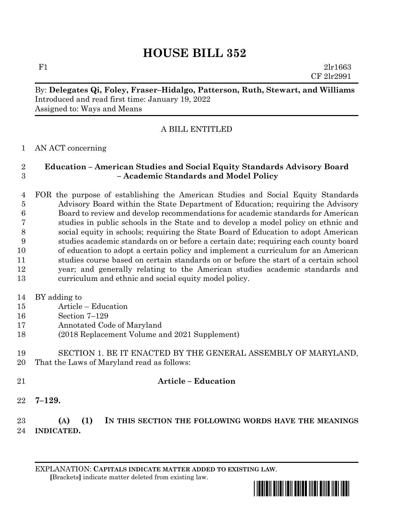# **HOUSE BILL 352**

F1 2lr1663 CF 2lr2991

## By: **Delegates Qi, Foley, Fraser–Hidalgo, Patterson, Ruth, Stewart, and Williams** Introduced and read first time: January 19, 2022 Assigned to: Ways and Means

# A BILL ENTITLED

### AN ACT concerning

### **Education – American Studies and Social Equity Standards Advisory Board – Academic Standards and Model Policy**

 FOR the purpose of establishing the American Studies and Social Equity Standards Advisory Board within the State Department of Education; requiring the Advisory Board to review and develop recommendations for academic standards for American studies in public schools in the State and to develop a model policy on ethnic and social equity in schools; requiring the State Board of Education to adopt American studies academic standards on or before a certain date; requiring each county board of education to adopt a certain policy and implement a curriculum for an American studies course based on certain standards on or before the start of a certain school year; and generally relating to the American studies academic standards and curriculum and ethnic and social equity model policy.

- BY adding to
- Article Education
- Section 7–129
- Annotated Code of Maryland
- (2018 Replacement Volume and 2021 Supplement)

## SECTION 1. BE IT ENACTED BY THE GENERAL ASSEMBLY OF MARYLAND, That the Laws of Maryland read as follows:

# **Article – Education**

**7–129.**

# **(A) (1) IN THIS SECTION THE FOLLOWING WORDS HAVE THE MEANINGS INDICATED.**

EXPLANATION: **CAPITALS INDICATE MATTER ADDED TO EXISTING LAW**.  **[**Brackets**]** indicate matter deleted from existing law.

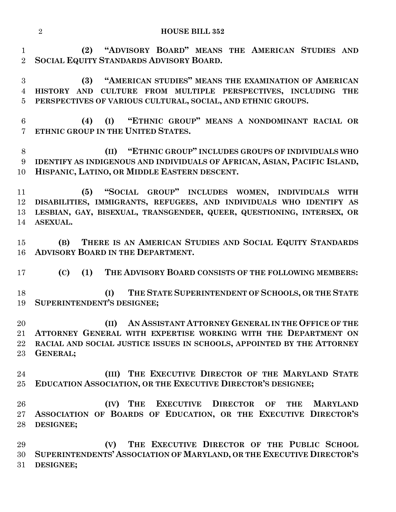| <b>HOUSE BILL 352</b> |
|-----------------------|
|                       |

 **(2) "ADVISORY BOARD" MEANS THE AMERICAN STUDIES AND SOCIAL EQUITY STANDARDS ADVISORY BOARD.**

 **(3) "AMERICAN STUDIES" MEANS THE EXAMINATION OF AMERICAN HISTORY AND CULTURE FROM MULTIPLE PERSPECTIVES, INCLUDING THE PERSPECTIVES OF VARIOUS CULTURAL, SOCIAL, AND ETHNIC GROUPS.**

 **(4) (I) "ETHNIC GROUP" MEANS A NONDOMINANT RACIAL OR ETHNIC GROUP IN THE UNITED STATES.**

 **(II) "ETHNIC GROUP" INCLUDES GROUPS OF INDIVIDUALS WHO IDENTIFY AS INDIGENOUS AND INDIVIDUALS OF AFRICAN, ASIAN, PACIFIC ISLAND, HISPANIC, LATINO, OR MIDDLE EASTERN DESCENT.**

 **(5) "SOCIAL GROUP" INCLUDES WOMEN, INDIVIDUALS WITH DISABILITIES, IMMIGRANTS, REFUGEES, AND INDIVIDUALS WHO IDENTIFY AS LESBIAN, GAY, BISEXUAL, TRANSGENDER, QUEER, QUESTIONING, INTERSEX, OR ASEXUAL.**

 **(B) THERE IS AN AMERICAN STUDIES AND SOCIAL EQUITY STANDARDS ADVISORY BOARD IN THE DEPARTMENT.**

**(C) (1) THE ADVISORY BOARD CONSISTS OF THE FOLLOWING MEMBERS:**

 **(I) THE STATE SUPERINTENDENT OF SCHOOLS, OR THE STATE SUPERINTENDENT'S DESIGNEE;**

 **(II) AN ASSISTANT ATTORNEY GENERAL IN THE OFFICE OF THE ATTORNEY GENERAL WITH EXPERTISE WORKING WITH THE DEPARTMENT ON RACIAL AND SOCIAL JUSTICE ISSUES IN SCHOOLS, APPOINTED BY THE ATTORNEY GENERAL;**

 **(III) THE EXECUTIVE DIRECTOR OF THE MARYLAND STATE EDUCATION ASSOCIATION, OR THE EXECUTIVE DIRECTOR'S DESIGNEE;**

 **(IV) THE EXECUTIVE DIRECTOR OF THE MARYLAND ASSOCIATION OF BOARDS OF EDUCATION, OR THE EXECUTIVE DIRECTOR'S DESIGNEE;**

 **(V) THE EXECUTIVE DIRECTOR OF THE PUBLIC SCHOOL SUPERINTENDENTS' ASSOCIATION OF MARYLAND, OR THE EXECUTIVE DIRECTOR'S DESIGNEE;**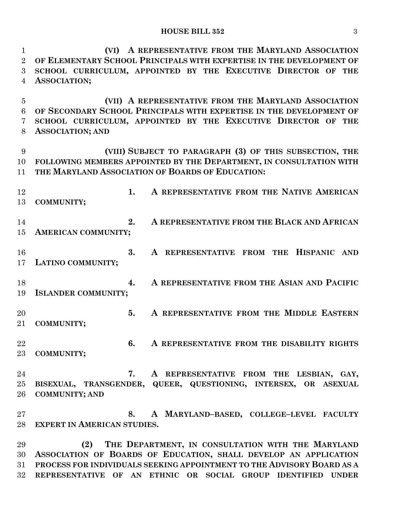**(VI) A REPRESENTATIVE FROM THE MARYLAND ASSOCIATION OF ELEMENTARY SCHOOL PRINCIPALS WITH EXPERTISE IN THE DEVELOPMENT OF SCHOOL CURRICULUM, APPOINTED BY THE EXECUTIVE DIRECTOR OF THE ASSOCIATION; (VII) A REPRESENTATIVE FROM THE MARYLAND ASSOCIATION OF SECONDARY SCHOOL PRINCIPALS WITH EXPERTISE IN THE DEVELOPMENT OF SCHOOL CURRICULUM, APPOINTED BY THE EXECUTIVE DIRECTOR OF THE** 

**ASSOCIATION; AND**

 **(VIII) SUBJECT TO PARAGRAPH (3) OF THIS SUBSECTION, THE FOLLOWING MEMBERS APPOINTED BY THE DEPARTMENT, IN CONSULTATION WITH THE MARYLAND ASSOCIATION OF BOARDS OF EDUCATION:**

- **1. A REPRESENTATIVE FROM THE NATIVE AMERICAN COMMUNITY; 2. A REPRESENTATIVE FROM THE BLACK AND AFRICAN AMERICAN COMMUNITY; 3. A REPRESENTATIVE FROM THE HISPANIC AND LATINO COMMUNITY; 4. A REPRESENTATIVE FROM THE ASIAN AND PACIFIC ISLANDER COMMUNITY; 5. A REPRESENTATIVE FROM THE MIDDLE EASTERN COMMUNITY; 6. A REPRESENTATIVE FROM THE DISABILITY RIGHTS COMMUNITY;**
- **7. A REPRESENTATIVE FROM THE LESBIAN, GAY, BISEXUAL, TRANSGENDER, QUEER, QUESTIONING, INTERSEX, OR ASEXUAL COMMUNITY; AND**

 **8. A MARYLAND–BASED, COLLEGE–LEVEL FACULTY EXPERT IN AMERICAN STUDIES.**

 **(2) THE DEPARTMENT, IN CONSULTATION WITH THE MARYLAND ASSOCIATION OF BOARDS OF EDUCATION, SHALL DEVELOP AN APPLICATION PROCESS FOR INDIVIDUALS SEEKING APPOINTMENT TO THE ADVISORY BOARD AS A REPRESENTATIVE OF AN ETHNIC OR SOCIAL GROUP IDENTIFIED UNDER**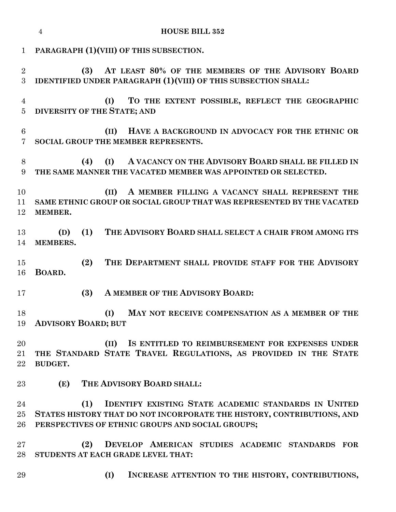|                     | <b>HOUSE BILL 352</b><br>4                                                                                                                                                                       |
|---------------------|--------------------------------------------------------------------------------------------------------------------------------------------------------------------------------------------------|
| $\mathbf{1}$        | PARAGRAPH (1) (VIII) OF THIS SUBSECTION.                                                                                                                                                         |
| $\overline{2}$<br>3 | AT LEAST 80% OF THE MEMBERS OF THE ADVISORY BOARD<br>(3)<br><b>IDENTIFIED UNDER PARAGRAPH (1) (VIII) OF THIS SUBSECTION SHALL:</b>                                                               |
| 4<br>$\overline{5}$ | TO THE EXTENT POSSIBLE, REFLECT THE GEOGRAPHIC<br>(I)<br><b>DIVERSITY OF THE STATE; AND</b>                                                                                                      |
| 6<br>7              | HAVE A BACKGROUND IN ADVOCACY FOR THE ETHNIC OR<br>(II)<br>SOCIAL GROUP THE MEMBER REPRESENTS.                                                                                                   |
| 8<br>9              | A VACANCY ON THE ADVISORY BOARD SHALL BE FILLED IN<br>(I)<br>(4)<br>THE SAME MANNER THE VACATED MEMBER WAS APPOINTED OR SELECTED.                                                                |
| 10<br>11<br>12      | (II)<br>A MEMBER FILLING A VACANCY SHALL REPRESENT THE<br>SAME ETHNIC GROUP OR SOCIAL GROUP THAT WAS REPRESENTED BY THE VACATED<br>MEMBER.                                                       |
| 13<br>14            | THE ADVISORY BOARD SHALL SELECT A CHAIR FROM AMONG ITS<br>(1)<br>(D)<br>MEMBERS.                                                                                                                 |
| 15<br>16            | THE DEPARTMENT SHALL PROVIDE STAFF FOR THE ADVISORY<br>(2)<br>BOARD.                                                                                                                             |
| 17                  | A MEMBER OF THE ADVISORY BOARD:<br>(3)                                                                                                                                                           |
| 18<br>19            | (I)<br>MAY NOT RECEIVE COMPENSATION AS A MEMBER OF THE<br><b>ADVISORY BOARD; BUT</b>                                                                                                             |
| 20<br>21<br>$22\,$  | (II)<br>IS ENTITLED TO REIMBURSEMENT FOR EXPENSES UNDER<br>THE STANDARD STATE TRAVEL REGULATIONS, AS PROVIDED IN THE STATE<br><b>BUDGET.</b>                                                     |
| 23                  | THE ADVISORY BOARD SHALL:<br>(E)                                                                                                                                                                 |
| 24<br>$25\,$<br>26  | <b>IDENTIFY EXISTING STATE ACADEMIC STANDARDS IN UNITED</b><br>(1)<br>STATES HISTORY THAT DO NOT INCORPORATE THE HISTORY, CONTRIBUTIONS, AND<br>PERSPECTIVES OF ETHNIC GROUPS AND SOCIAL GROUPS; |
| $27\,$<br>28        | (2)<br>DEVELOP AMERICAN STUDIES ACADEMIC STANDARDS FOR<br>STUDENTS AT EACH GRADE LEVEL THAT:                                                                                                     |
| 29                  | (I)<br>INCREASE ATTENTION TO THE HISTORY, CONTRIBUTIONS,                                                                                                                                         |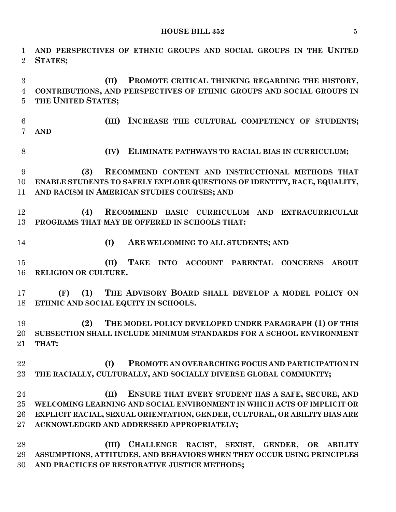**HOUSE BILL 352** 5

 **AND PERSPECTIVES OF ETHNIC GROUPS AND SOCIAL GROUPS IN THE UNITED STATES; (II) PROMOTE CRITICAL THINKING REGARDING THE HISTORY, CONTRIBUTIONS, AND PERSPECTIVES OF ETHNIC GROUPS AND SOCIAL GROUPS IN THE UNITED STATES; (III) INCREASE THE CULTURAL COMPETENCY OF STUDENTS; AND (IV) ELIMINATE PATHWAYS TO RACIAL BIAS IN CURRICULUM; (3) RECOMMEND CONTENT AND INSTRUCTIONAL METHODS THAT ENABLE STUDENTS TO SAFELY EXPLORE QUESTIONS OF IDENTITY, RACE, EQUALITY, AND RACISM IN AMERICAN STUDIES COURSES; AND (4) RECOMMEND BASIC CURRICULUM AND EXTRACURRICULAR PROGRAMS THAT MAY BE OFFERED IN SCHOOLS THAT: (I) ARE WELCOMING TO ALL STUDENTS; AND (II) TAKE INTO ACCOUNT PARENTAL CONCERNS ABOUT RELIGION OR CULTURE. (F) (1) THE ADVISORY BOARD SHALL DEVELOP A MODEL POLICY ON ETHNIC AND SOCIAL EQUITY IN SCHOOLS. (2) THE MODEL POLICY DEVELOPED UNDER PARAGRAPH (1) OF THIS SUBSECTION SHALL INCLUDE MINIMUM STANDARDS FOR A SCHOOL ENVIRONMENT THAT: (I) PROMOTE AN OVERARCHING FOCUS AND PARTICIPATION IN THE RACIALLY, CULTURALLY, AND SOCIALLY DIVERSE GLOBAL COMMUNITY; (II) ENSURE THAT EVERY STUDENT HAS A SAFE, SECURE, AND WELCOMING LEARNING AND SOCIAL ENVIRONMENT IN WHICH ACTS OF IMPLICIT OR EXPLICIT RACIAL, SEXUAL ORIENTATION, GENDER, CULTURAL, OR ABILITY BIAS ARE ACKNOWLEDGED AND ADDRESSED APPROPRIATELY; (III) CHALLENGE RACIST, SEXIST, GENDER, OR ABILITY ASSUMPTIONS, ATTITUDES, AND BEHAVIORS WHEN THEY OCCUR USING PRINCIPLES AND PRACTICES OF RESTORATIVE JUSTICE METHODS;**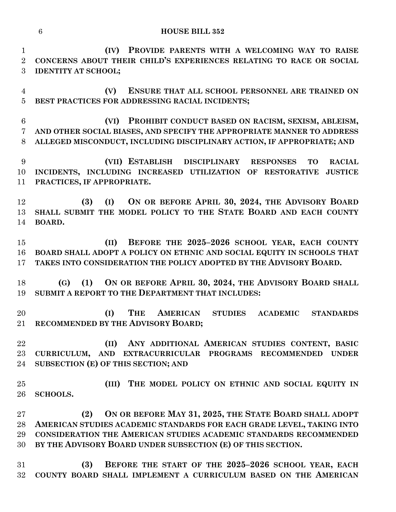#### **HOUSE BILL 352**

 **(IV) PROVIDE PARENTS WITH A WELCOMING WAY TO RAISE CONCERNS ABOUT THEIR CHILD'S EXPERIENCES RELATING TO RACE OR SOCIAL IDENTITY AT SCHOOL;**

 **(V) ENSURE THAT ALL SCHOOL PERSONNEL ARE TRAINED ON BEST PRACTICES FOR ADDRESSING RACIAL INCIDENTS;**

 **(VI) PROHIBIT CONDUCT BASED ON RACISM, SEXISM, ABLEISM, AND OTHER SOCIAL BIASES, AND SPECIFY THE APPROPRIATE MANNER TO ADDRESS ALLEGED MISCONDUCT, INCLUDING DISCIPLINARY ACTION, IF APPROPRIATE; AND**

 **(VII) ESTABLISH DISCIPLINARY RESPONSES TO RACIAL INCIDENTS, INCLUDING INCREASED UTILIZATION OF RESTORATIVE JUSTICE PRACTICES, IF APPROPRIATE.**

 **(3) (I) ON OR BEFORE APRIL 30, 2024, THE ADVISORY BOARD SHALL SUBMIT THE MODEL POLICY TO THE STATE BOARD AND EACH COUNTY BOARD.**

 **(II) BEFORE THE 2025–2026 SCHOOL YEAR, EACH COUNTY BOARD SHALL ADOPT A POLICY ON ETHNIC AND SOCIAL EQUITY IN SCHOOLS THAT TAKES INTO CONSIDERATION THE POLICY ADOPTED BY THE ADVISORY BOARD.**

 **(G) (1) ON OR BEFORE APRIL 30, 2024, THE ADVISORY BOARD SHALL SUBMIT A REPORT TO THE DEPARTMENT THAT INCLUDES:**

 **(I) THE AMERICAN STUDIES ACADEMIC STANDARDS RECOMMENDED BY THE ADVISORY BOARD;**

 **(II) ANY ADDITIONAL AMERICAN STUDIES CONTENT, BASIC CURRICULUM, AND EXTRACURRICULAR PROGRAMS RECOMMENDED UNDER SUBSECTION (E) OF THIS SECTION; AND**

 **(III) THE MODEL POLICY ON ETHNIC AND SOCIAL EQUITY IN SCHOOLS.**

 **(2) ON OR BEFORE MAY 31, 2025, THE STATE BOARD SHALL ADOPT AMERICAN STUDIES ACADEMIC STANDARDS FOR EACH GRADE LEVEL, TAKING INTO CONSIDERATION THE AMERICAN STUDIES ACADEMIC STANDARDS RECOMMENDED BY THE ADVISORY BOARD UNDER SUBSECTION (E) OF THIS SECTION.**

 **(3) BEFORE THE START OF THE 2025–2026 SCHOOL YEAR, EACH COUNTY BOARD SHALL IMPLEMENT A CURRICULUM BASED ON THE AMERICAN**